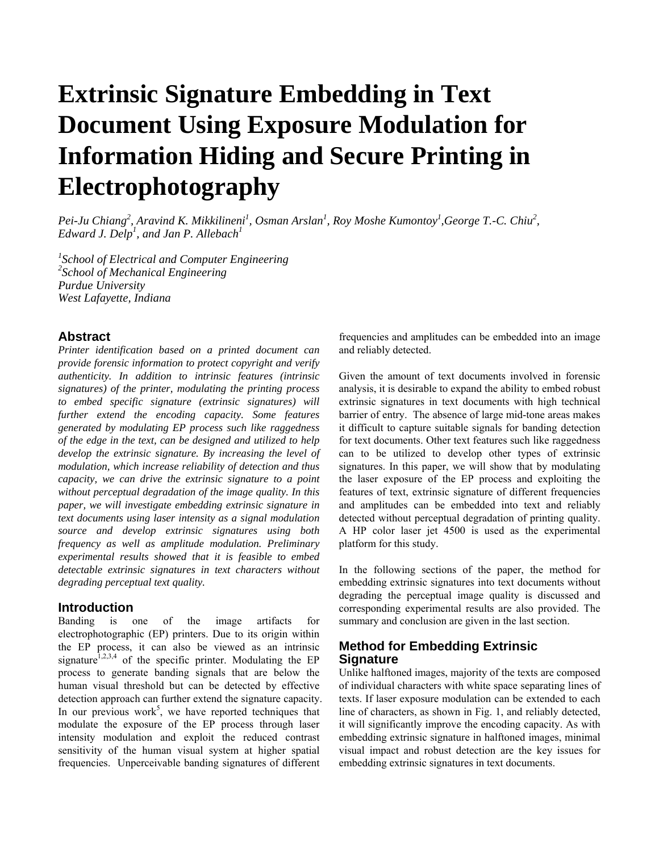# **Extrinsic Signature Embedding in Text Document Using Exposure Modulation for Information Hiding and Secure Printing in Electrophotography**

*Pei-Ju Chiang<sup>2</sup>, Aravind K. Mikkilineni<sup>1</sup>, Osman Arslan<sup>1</sup>, Roy Moshe Kumontoy<sup>1</sup>, George T.-C. Chiu<sup>2</sup>, Edward J. Delp<sup>1</sup> , and Jan P. Allebach1*

*1 School of Electrical and Computer Engineering 2 School of Mechanical Engineering Purdue University West Lafayette, Indiana* 

# **Abstract**

*Printer identification based on a printed document can provide forensic information to protect copyright and verify authenticity. In addition to intrinsic features (intrinsic signatures) of the printer, modulating the printing process to embed specific signature (extrinsic signatures) will further extend the encoding capacity. Some features generated by modulating EP process such like raggedness of the edge in the text, can be designed and utilized to help develop the extrinsic signature. By increasing the level of modulation, which increase reliability of detection and thus capacity, we can drive the extrinsic signature to a point without perceptual degradation of the image quality. In this paper, we will investigate embedding extrinsic signature in text documents using laser intensity as a signal modulation source and develop extrinsic signatures using both frequency as well as amplitude modulation. Preliminary experimental results showed that it is feasible to embed detectable extrinsic signatures in text characters without degrading perceptual text quality.* 

#### **Introduction**

Banding is one of the image artifacts for electrophotographic (EP) printers. Due to its origin within the EP process, it can also be viewed as an intrinsic signature<sup>1,2,3,4</sup> of the specific printer. Modulating the EP process to generate banding signals that are below the human visual threshold but can be detected by effective detection approach can further extend the signature capacity. In our previous work<sup>5</sup>, we have reported techniques that modulate the exposure of the EP process through laser intensity modulation and exploit the reduced contrast sensitivity of the human visual system at higher spatial frequencies. Unperceivable banding signatures of different

frequencies and amplitudes can be embedded into an image and reliably detected.

Given the amount of text documents involved in forensic analysis, it is desirable to expand the ability to embed robust extrinsic signatures in text documents with high technical barrier of entry. The absence of large mid-tone areas makes it difficult to capture suitable signals for banding detection for text documents. Other text features such like raggedness can to be utilized to develop other types of extrinsic signatures. In this paper, we will show that by modulating the laser exposure of the EP process and exploiting the features of text, extrinsic signature of different frequencies and amplitudes can be embedded into text and reliably detected without perceptual degradation of printing quality. A HP color laser jet 4500 is used as the experimental platform for this study.

In the following sections of the paper, the method for embedding extrinsic signatures into text documents without degrading the perceptual image quality is discussed and corresponding experimental results are also provided. The summary and conclusion are given in the last section.

# **Method for Embedding Extrinsic Signature**

Unlike halftoned images, majority of the texts are composed of individual characters with white space separating lines of texts. If laser exposure modulation can be extended to each line of characters, as shown in Fig. 1, and reliably detected, it will significantly improve the encoding capacity. As with embedding extrinsic signature in halftoned images, minimal visual impact and robust detection are the key issues for embedding extrinsic signatures in text documents.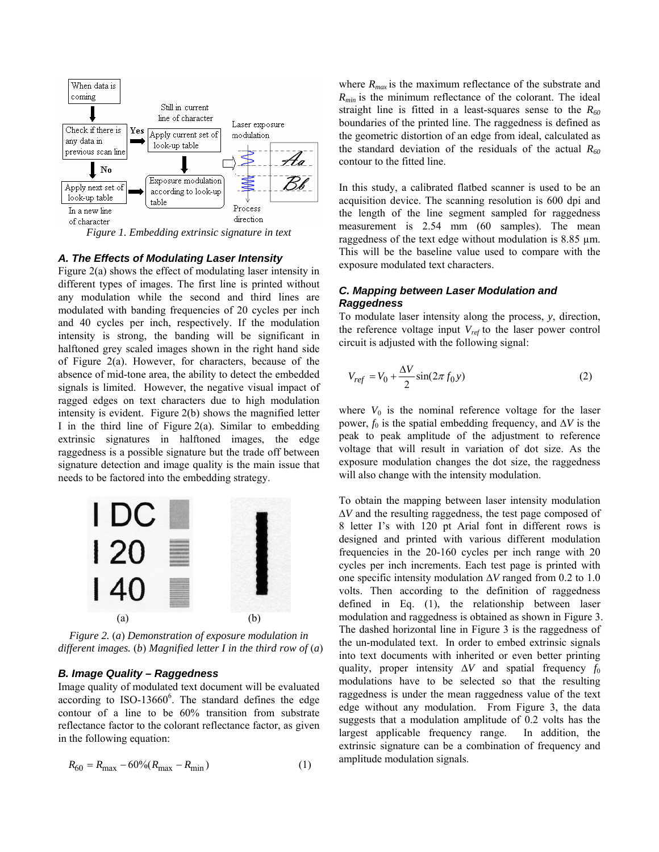

*Figure 1. Embedding extrinsic signature in text* 

#### *A. The Effects of Modulating Laser Intensity*

Figure 2(a) shows the effect of modulating laser intensity in different types of images. The first line is printed without any modulation while the second and third lines are modulated with banding frequencies of 20 cycles per inch and 40 cycles per inch, respectively. If the modulation intensity is strong, the banding will be significant in halftoned grey scaled images shown in the right hand side of Figure 2(a). However, for characters, because of the absence of mid-tone area, the ability to detect the embedded signals is limited. However, the negative visual impact of ragged edges on text characters due to high modulation intensity is evident. Figure 2(b) shows the magnified letter I in the third line of Figure  $2(a)$ . Similar to embedding extrinsic signatures in halftoned images, the edge raggedness is a possible signature but the trade off between signature detection and image quality is the main issue that needs to be factored into the embedding strategy.



*Figure 2.* (*a*) *Demonstration of exposure modulation in different images.* (*b*) *Magnified letter I in the third row of* (*a*)

#### *B. Image Quality – Raggedness*

Image quality of modulated text document will be evaluated according to  $ISO-13660^6$ . The standard defines the edge contour of a line to be 60% transition from substrate reflectance factor to the colorant reflectance factor, as given in the following equation:

$$
R_{60} = R_{\text{max}} - 60\% (R_{\text{max}} - R_{\text{min}})
$$
 (1)

where  $R_{max}$  is the maximum reflectance of the substrate and  $R_{min}$  is the minimum reflectance of the colorant. The ideal straight line is fitted in a least-squares sense to the  $R_{60}$ boundaries of the printed line. The raggedness is defined as the geometric distortion of an edge from ideal, calculated as the standard deviation of the residuals of the actual  $R_{60}$ contour to the fitted line.

In this study, a calibrated flatbed scanner is used to be an acquisition device. The scanning resolution is 600 dpi and the length of the line segment sampled for raggedness measurement is 2.54 mm (60 samples). The mean raggedness of the text edge without modulation is 8.85 µm. This will be the baseline value used to compare with the exposure modulated text characters.

### *C. Mapping between Laser Modulation and Raggedness*

To modulate laser intensity along the process, *y*, direction, the reference voltage input *Vref* to the laser power control circuit is adjusted with the following signal:

$$
V_{ref} = V_0 + \frac{\Delta V}{2} \sin(2\pi f_0 y) \tag{2}
$$

where  $V_0$  is the nominal reference voltage for the laser power,  $f_0$  is the spatial embedding frequency, and  $\Delta V$  is the peak to peak amplitude of the adjustment to reference voltage that will result in variation of dot size. As the exposure modulation changes the dot size, the raggedness will also change with the intensity modulation.

To obtain the mapping between laser intensity modulation ∆*V* and the resulting raggedness, the test page composed of 8 letter I's with 120 pt Arial font in different rows is designed and printed with various different modulation frequencies in the 20-160 cycles per inch range with 20 cycles per inch increments. Each test page is printed with one specific intensity modulation ∆*V* ranged from 0.2 to 1.0 volts. Then according to the definition of raggedness defined in Eq. (1), the relationship between laser modulation and raggedness is obtained as shown in Figure 3. The dashed horizontal line in Figure 3 is the raggedness of the un-modulated text. In order to embed extrinsic signals into text documents with inherited or even better printing quality, proper intensity ∆*V* and spatial frequency *f*<sup>0</sup> modulations have to be selected so that the resulting raggedness is under the mean raggedness value of the text edge without any modulation. From Figure 3, the data suggests that a modulation amplitude of 0.2 volts has the largest applicable frequency range. In addition, the extrinsic signature can be a combination of frequency and amplitude modulation signals.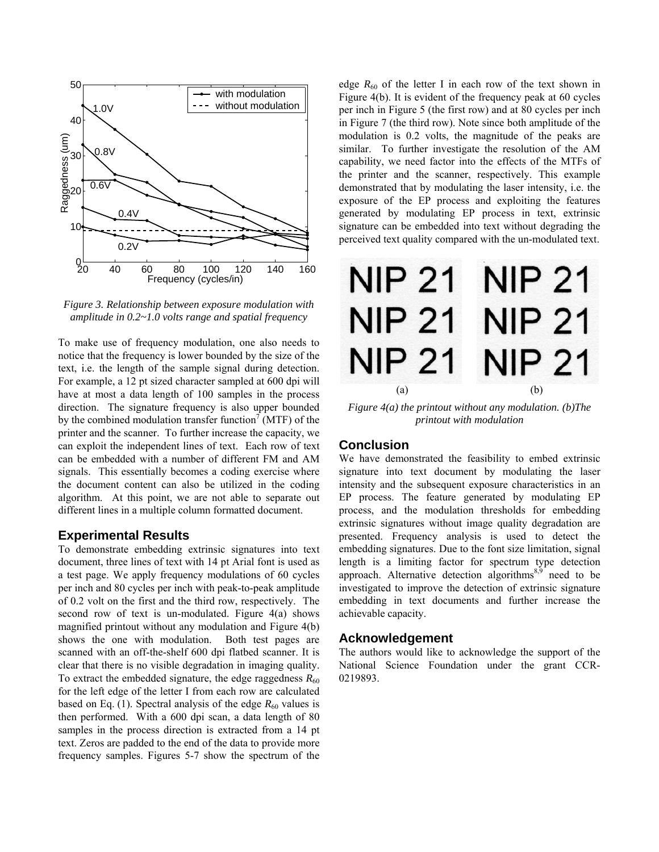

*Figure 3. Relationship between exposure modulation with amplitude in 0.2~1.0 volts range and spatial frequency* 

To make use of frequency modulation, one also needs to notice that the frequency is lower bounded by the size of the text, i.e. the length of the sample signal during detection. For example, a 12 pt sized character sampled at 600 dpi will have at most a data length of 100 samples in the process direction. The signature frequency is also upper bounded by the combined modulation transfer function<sup>7</sup> (MTF) of the printer and the scanner. To further increase the capacity, we can exploit the independent lines of text. Each row of text can be embedded with a number of different FM and AM signals. This essentially becomes a coding exercise where the document content can also be utilized in the coding algorithm. At this point, we are not able to separate out different lines in a multiple column formatted document.

### **Experimental Results**

To demonstrate embedding extrinsic signatures into text document, three lines of text with 14 pt Arial font is used as a test page. We apply frequency modulations of 60 cycles per inch and 80 cycles per inch with peak-to-peak amplitude of 0.2 volt on the first and the third row, respectively. The second row of text is un-modulated. Figure 4(a) shows magnified printout without any modulation and Figure 4(b) shows the one with modulation. Both test pages are scanned with an off-the-shelf 600 dpi flatbed scanner. It is clear that there is no visible degradation in imaging quality. To extract the embedded signature, the edge raggedness  $R_{60}$ for the left edge of the letter I from each row are calculated based on Eq. (1). Spectral analysis of the edge  $R_{60}$  values is then performed. With a 600 dpi scan, a data length of 80 samples in the process direction is extracted from a 14 pt text. Zeros are padded to the end of the data to provide more frequency samples. Figures 5-7 show the spectrum of the edge  $R_{60}$  of the letter I in each row of the text shown in Figure 4(b). It is evident of the frequency peak at 60 cycles per inch in Figure 5 (the first row) and at 80 cycles per inch in Figure 7 (the third row). Note since both amplitude of the modulation is 0.2 volts, the magnitude of the peaks are similar. To further investigate the resolution of the AM capability, we need factor into the effects of the MTFs of the printer and the scanner, respectively. This example demonstrated that by modulating the laser intensity, i.e. the exposure of the EP process and exploiting the features generated by modulating EP process in text, extrinsic signature can be embedded into text without degrading the perceived text quality compared with the un-modulated text.



*Figure 4(a) the printout without any modulation. (b)The printout with modulation* 

# **Conclusion**

We have demonstrated the feasibility to embed extrinsic signature into text document by modulating the laser intensity and the subsequent exposure characteristics in an EP process. The feature generated by modulating EP process, and the modulation thresholds for embedding extrinsic signatures without image quality degradation are presented. Frequency analysis is used to detect the embedding signatures. Due to the font size limitation, signal length is a limiting factor for spectrum type detection approach. Alternative detection algorithms $8.9^{\circ}$  need to be investigated to improve the detection of extrinsic signature embedding in text documents and further increase the achievable capacity.

## **Acknowledgement**

The authors would like to acknowledge the support of the National Science Foundation under the grant CCR-0219893.